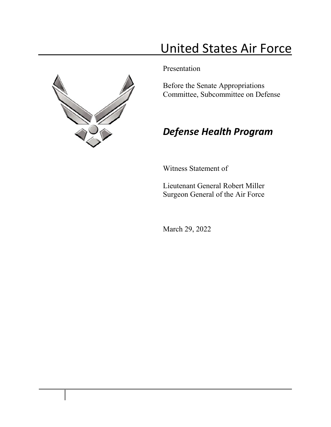# United States Air Force



Presentation

Before the Senate Appropriations Committee, Subcommittee on Defense

# *Defense Health Program*

Witness Statement of

Lieutenant General Robert Miller Surgeon General of the Air Force

March 29, 2022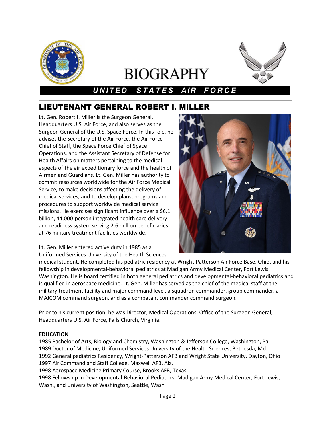

# **BIOGRAPHY**



# *UNITED STATE S AIR FORCE*

# LIEUTENANT GENERAL ROBERT I. MILLER

Lt. Gen. Robert I. Miller is the Surgeon General, Headquarters U.S. Air Force, and also serves as the Surgeon General of the U.S. Space Force. In this role, he advises the Secretary of the Air Force, the Air Force Chief of Staff, the Space Force Chief of Space Operations, and the Assistant Secretary of Defense for Health Affairs on matters pertaining to the medical aspects of the air expeditionary force and the health of Airmen and Guardians. Lt. Gen. Miller has authority to commit resources worldwide for the Air Force Medical Service, to make decisions affecting the delivery of medical services, and to develop plans, programs and procedures to support worldwide medical service missions. He exercises significant influence over a \$6.1 billion, 44,000-person integrated health care delivery and readiness system serving 2.6 million beneficiaries at 76 military treatment facilities worldwide.

Lt. Gen. Miller entered active duty in 1985 as a Uniformed Services University of the Health Sciences



medical student. He completed his pediatric residency at Wright-Patterson Air Force Base, Ohio, and his fellowship in developmental-behavioral pediatrics at Madigan Army Medical Center, Fort Lewis, Washington. He is board certified in both general pediatrics and developmental-behavioral pediatrics and is qualified in aerospace medicine. Lt. Gen. Miller has served as the chief of the medical staff at the military treatment facility and major command level, a squadron commander, group commander, a MAJCOM command surgeon, and as a combatant commander command surgeon.

Prior to his current position, he was Director, Medical Operations, Office of the Surgeon General, Headquarters U.S. Air Force, Falls Church, Virginia.

# **EDUCATION**

 Bachelor of Arts, Biology and Chemistry, Washington & Jefferson College, Washington, Pa. Doctor of Medicine, Uniformed Services University of the Health Sciences, Bethesda, Md. General pediatrics Residency, Wright-Patterson AFB and Wright State University, Dayton, Ohio Air Command and Staff College, Maxwell AFB, Ala.

1998 Aerospace Medicine Primary Course, Brooks AFB, Texas

1998 Fellowship in Developmental-Behavioral Pediatrics, Madigan Army Medical Center, Fort Lewis, Wash., and University of Washington, Seattle, Wash.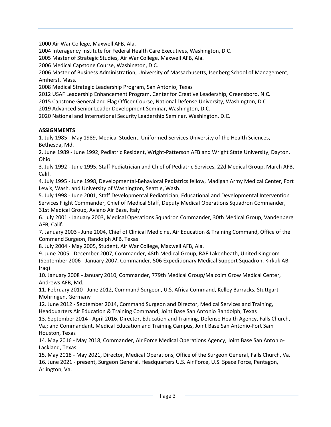2000 Air War College, Maxwell AFB, Ala.

2004 Interagency Institute for Federal Health Care Executives, Washington, D.C.

2005 Master of Strategic Studies, Air War College, Maxwell AFB, Ala.

2006 Medical Capstone Course, Washington, D.C.

2006 Master of Business Administration, University of Massachusetts, Isenberg School of Management, Amherst, Mass.

2008 Medical Strategic Leadership Program, San Antonio, Texas

2012 USAF Leadership Enhancement Program, Center for Creative Leadership, Greensboro, N.C.

2015 Capstone General and Flag Officer Course, National Defense University, Washington, D.C.

2019 Advanced Senior Leader Development Seminar, Washington, D.C.

2020 National and International Security Leadership Seminar, Washington, D.C.

# **ASSIGNMENTS**

1. July 1985 - May 1989, Medical Student, Uniformed Services University of the Health Sciences, Bethesda, Md.

2. June 1989 - June 1992, Pediatric Resident, Wright-Patterson AFB and Wright State University, Dayton, Ohio

3. July 1992 - June 1995, Staff Pediatrician and Chief of Pediatric Services, 22d Medical Group, March AFB, Calif.

4. July 1995 - June 1998, Developmental-Behavioral Pediatrics fellow, Madigan Army Medical Center, Fort Lewis, Wash. and University of Washington, Seattle, Wash.

5. July 1998 - June 2001, Staff Developmental Pediatrician, Educational and Developmental Intervention Services Flight Commander, Chief of Medical Staff, Deputy Medical Operations Squadron Commander, 31st Medical Group, Aviano Air Base, Italy

6. July 2001 - January 2003, Medical Operations Squadron Commander, 30th Medical Group, Vandenberg AFB, Calif.

7. January 2003 - June 2004, Chief of Clinical Medicine, Air Education & Training Command, Office of the Command Surgeon, Randolph AFB, Texas

8. July 2004 - May 2005, Student, Air War College, Maxwell AFB, Ala.

9. June 2005 - December 2007, Commander, 48th Medical Group, RAF Lakenheath, United Kingdom (September 2006 - January 2007, Commander, 506 Expeditionary Medical Support Squadron, Kirkuk AB, Iraq)

10. January 2008 - January 2010, Commander, 779th Medical Group/Malcolm Grow Medical Center, Andrews AFB, Md.

11. February 2010 - June 2012, Command Surgeon, U.S. Africa Command, Kelley Barracks, Stuttgart-Möhringen, Germany

12. June 2012 - September 2014, Command Surgeon and Director, Medical Services and Training, Headquarters Air Education & Training Command, Joint Base San Antonio Randolph, Texas

13. September 2014 - April 2016, Director, Education and Training, Defense Health Agency, Falls Church, Va.; and Commandant, Medical Education and Training Campus, Joint Base San Antonio-Fort Sam Houston, Texas

14. May 2016 - May 2018, Commander, Air Force Medical Operations Agency, Joint Base San Antonio-Lackland, Texas

15. May 2018 - May 2021, Director, Medical Operations, Office of the Surgeon General, Falls Church, Va. 16. June 2021 - present, Surgeon General, Headquarters U.S. Air Force, U.S. Space Force, Pentagon, Arlington, Va.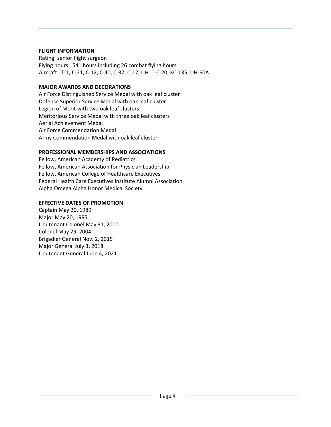## **FLIGHT INFORMATION**

Rating: senior flight surgeon Flying hours: 541 hours including 26 combat flying hours Aircraft: T-1, C-21, C-12, C-40, C-37, C-17, UH-1, C-20, KC-135, UH-60A

# **MAJOR AWARDS AND DECORATIONS**

Air Force Distinguished Service Medal with oak leaf cluster Defense Superior Service Medal with oak leaf cluster Legion of Merit with two oak leaf clusters Meritorious Service Medal with three oak leaf clusters Aerial Achievement Medal Air Force Commendation Medal Army Commendation Medal with oak leaf cluster

## **PROFESSIONAL MEMBERSHIPS AND ASSOCIATIONS**

Fellow, American Academy of Pediatrics Fellow, American Association for Physician Leadership Fellow, American College of Healthcare Executives Federal Health Care Executives Institute Alumni Association Alpha Omega Alpha Honor Medical Society

## **EFFECTIVE DATES OF PROMOTION**

Captain May 20, 1989 Major May 20, 1995 Lieutenant Colonel May 31, 2000 Colonel May 29, 2004 Brigadier General Nov. 2, 2015 Major General July 3, 2018 Lieutenant General June 4, 2021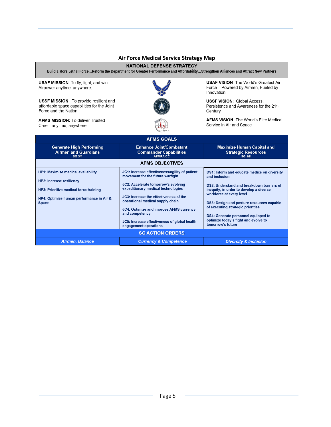### **Air Force Medical Service Strategy Map**

#### NATIONAL DEFENSE STRATEGY

Build a More Lethal Force...Reform the Department for Greater Performance and Affordability...Strengthen Alliances and Attract New Partners

USAF MISSION: To fly, fight, and win... Airpower anytime, anywhere.

**USSF MISSION:** To provide resilient and affordable space capabilities for the Joint Force and the Nation

**AFMS MISSION: To deliver Trusted** Care...anytime, anywhere



**USAF VISION: The World's Greatest Air** Force - Powered by Airmen, Fueled by Innovation

**USSF VISION: Global Access,** Persistence and Awareness for the 21st Century

**AFMS VISION: The World's Elite Medical** Service in Air and Space

| <b>AFMS GOALS</b>                                                                                                                                                                         |                                                                                                                                                                                                                                                                                                                                                                                            |                                                                                                                                                                                                                                                                                                                                                                               |
|-------------------------------------------------------------------------------------------------------------------------------------------------------------------------------------------|--------------------------------------------------------------------------------------------------------------------------------------------------------------------------------------------------------------------------------------------------------------------------------------------------------------------------------------------------------------------------------------------|-------------------------------------------------------------------------------------------------------------------------------------------------------------------------------------------------------------------------------------------------------------------------------------------------------------------------------------------------------------------------------|
| <b>Generate High Performing</b><br><b>Airmen and Guardians</b><br>SG 3/4                                                                                                                  | <b>Enhance Joint/Combatant</b><br><b>Commander Capabilities</b><br>AFMRA/CC                                                                                                                                                                                                                                                                                                                | <b>Maximize Human Capital and</b><br><b>Strategic Resources</b><br><b>SG 1/8</b>                                                                                                                                                                                                                                                                                              |
| <b>AFMS OBJECTIVES</b>                                                                                                                                                                    |                                                                                                                                                                                                                                                                                                                                                                                            |                                                                                                                                                                                                                                                                                                                                                                               |
| <b>HP1: Maximize medical availability</b><br><b>HP2: Increase resiliency</b><br><b>HP3: Prioritize medical force training</b><br>HP4: Optimize human performance in Air &<br><b>Space</b> | JC1: Increase effectiveness/agility of patient<br>movement for the future warfight<br>JC2: Accelerate tomorrow's evolving<br>expeditionary medical technologies<br>JC3: Increase the effectiveness of the<br>operational medical supply chain<br><b>JC4: Optimize and improve AFMS currency</b><br>and competency<br>JC5: Increase effectiveness of global health<br>engagement operations | DS1: Inform and educate medics on diversity<br>and inclusion<br>DS2: Understand and breakdown barriers of<br>inequity, in order to develop a diverse<br>workforce at every level<br><b>DS3: Design and posture resources capable</b><br>of executing strategic priorities<br>DS4: Generate personnel equipped to<br>optimize today's fight and evolve to<br>tomorrow's future |
| <b>SG ACTION ORDERS</b>                                                                                                                                                                   |                                                                                                                                                                                                                                                                                                                                                                                            |                                                                                                                                                                                                                                                                                                                                                                               |
| Airmen, Balance                                                                                                                                                                           | <b>Currency &amp; Competence</b>                                                                                                                                                                                                                                                                                                                                                           | <b>Diversity &amp; Inclusion</b>                                                                                                                                                                                                                                                                                                                                              |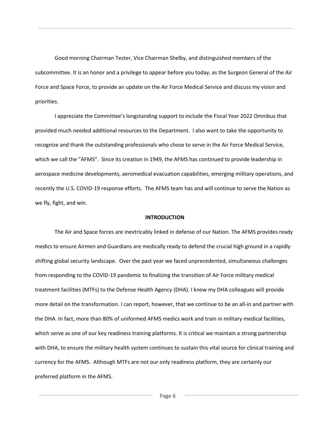Good morning Chairman Tester, Vice Chairman Shelby, and distinguished members of the subcommittee. It is an honor and a privilege to appear before you today, as the Surgeon General of the Air Force and Space Force, to provide an update on the Air Force Medical Service and discuss my vision and priorities.

I appreciate the Committee's longstanding support to include the Fiscal Year 2022 Omnibus that provided much needed additional resources to the Department. I also want to take the opportunity to recognize and thank the outstanding professionals who chose to serve in the Air Force Medical Service, which we call the "AFMS". Since its creation in 1949, the AFMS has continued to provide leadership in aerospace medicine developments, aeromedical evacuation capabilities, emerging military operations, and recently the U.S. COVID-19 response efforts. The AFMS team has and will continue to serve the Nation as we fly, fight, and win.

#### **INTRODUCTION**

The Air and Space forces are inextricably linked in defense of our Nation. The AFMS provides ready medics to ensure Airmen and Guardians are medically ready to defend the crucial high ground in a rapidly shifting global security landscape. Over the past year we faced unprecedented, simultaneous challenges from responding to the COVID-19 pandemic to finalizing the transition of Air Force military medical treatment facilities (MTFs) to the Defense Health Agency (DHA). I know my DHA colleagues will provide more detail on the transformation. I can report, however, that we continue to be an all-in and partner with the DHA. In fact, more than 80% of uniformed AFMS medics work and train in military medical facilities, which serve as one of our key readiness training platforms. It is critical we maintain a strong partnership with DHA, to ensure the military health system continues to sustain this vital source for clinical training and currency for the AFMS. Although MTFs are not our only readiness platform, they are certainly our preferred platform in the AFMS.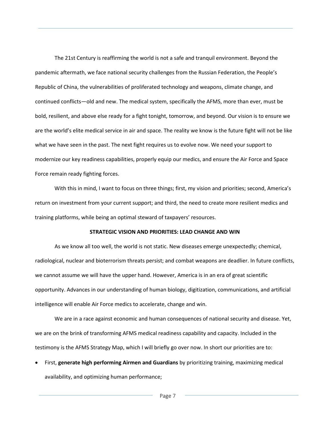The 21st Century is reaffirming the world is not a safe and tranquil environment. Beyond the pandemic aftermath, we face national security challenges from the Russian Federation, the People's Republic of China, the vulnerabilities of proliferated technology and weapons, climate change, and continued conflicts—old and new. The medical system, specifically the AFMS, more than ever, must be bold, resilient, and above else ready for a fight tonight, tomorrow, and beyond. Our vision is to ensure we are the world's elite medical service in air and space. The reality we know is the future fight will not be like what we have seen in the past. The next fight requires us to evolve now. We need your support to modernize our key readiness capabilities, properly equip our medics, and ensure the Air Force and Space Force remain ready fighting forces.

With this in mind, I want to focus on three things; first, my vision and priorities; second, America's return on investment from your current support; and third, the need to create more resilient medics and training platforms, while being an optimal steward of taxpayers' resources.

#### **STRATEGIC VISION AND PRIORITIES: LEAD CHANGE AND WIN**

As we know all too well, the world is not static. New diseases emerge unexpectedly; chemical, radiological, nuclear and bioterrorism threats persist; and combat weapons are deadlier. In future conflicts, we cannot assume we will have the upper hand. However, America is in an era of great scientific opportunity. Advances in our understanding of human biology, digitization, communications, and artificial intelligence will enable Air Force medics to accelerate, change and win.

We are in a race against economic and human consequences of national security and disease. Yet, we are on the brink of transforming AFMS medical readiness capability and capacity. Included in the testimony is the AFMS Strategy Map, which I will briefly go over now. In short our priorities are to:

• First, **generate high performing Airmen and Guardians** by prioritizing training, maximizing medical availability, and optimizing human performance;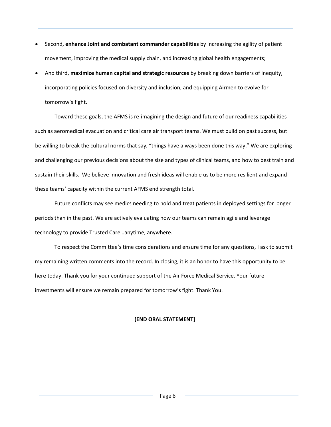- Second, **enhance Joint and combatant commander capabilities** by increasing the agility of patient movement, improving the medical supply chain, and increasing global health engagements;
- And third, **maximize human capital and strategic resources** by breaking down barriers of inequity, incorporating policies focused on diversity and inclusion, and equipping Airmen to evolve for tomorrow's fight.

Toward these goals, the AFMS is re-imagining the design and future of our readiness capabilities such as aeromedical evacuation and critical care air transport teams. We must build on past success, but be willing to break the cultural norms that say, "things have always been done this way." We are exploring and challenging our previous decisions about the size and types of clinical teams, and how to best train and sustain their skills. We believe innovation and fresh ideas will enable us to be more resilient and expand these teams' capacity within the current AFMS end strength total.

Future conflicts may see medics needing to hold and treat patients in deployed settings for longer periods than in the past. We are actively evaluating how our teams can remain agile and leverage technology to provide Trusted Care…anytime, anywhere.

To respect the Committee's time considerations and ensure time for any questions, I ask to submit my remaining written comments into the record. In closing, it is an honor to have this opportunity to be here today. Thank you for your continued support of the Air Force Medical Service. Your future investments will ensure we remain prepared for tomorrow's fight. Thank You.

### **(END ORAL STATEMENT]**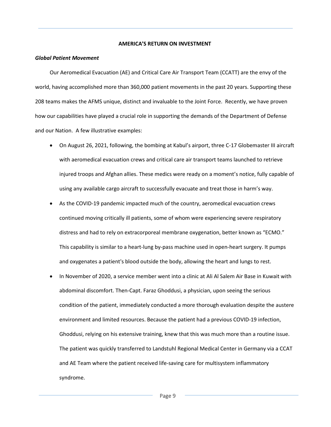#### **AMERICA'S RETURN ON INVESTMENT**

#### *Global Patient Movement*

Our Aeromedical Evacuation (AE) and Critical Care Air Transport Team (CCATT) are the envy of the world, having accomplished more than 360,000 patient movements in the past 20 years. Supporting these 208 teams makes the AFMS unique, distinct and invaluable to the Joint Force. Recently, we have proven how our capabilities have played a crucial role in supporting the demands of the Department of Defense and our Nation. A few illustrative examples:

- On August 26, 2021, following, the bombing at Kabul's airport, three C-17 Globemaster III aircraft with aeromedical evacuation crews and critical care air transport teams launched to retrieve injured troops and Afghan allies. These medics were ready on a moment's notice, fully capable of using any available cargo aircraft to successfully evacuate and treat those in harm's way.
- As the COVID-19 pandemic impacted much of the country, aeromedical evacuation crews continued moving critically ill patients, some of whom were experiencing severe respiratory distress and had to rely on extracorporeal membrane oxygenation, better known as "ECMO." This capability is similar to a heart-lung by-pass machine used in open-heart surgery. It pumps and oxygenates a patient's blood outside the body, allowing the heart and lungs to rest.
- In November of 2020, a service member went into a clinic at Ali Al Salem Air Base in Kuwait with abdominal discomfort. Then-Capt. Faraz Ghoddusi, a physician, upon seeing the serious condition of the patient, immediately conducted a more thorough evaluation despite the austere environment and limited resources. Because the patient had a previous COVID-19 infection, Ghoddusi, relying on his extensive training, knew that this was much more than a routine issue. The patient was quickly transferred to Landstuhl Regional Medical Center in Germany via a CCAT and AE Team where the patient received life-saving care for multisystem inflammatory syndrome.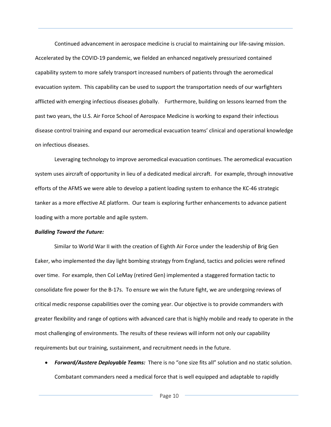Continued advancement in aerospace medicine is crucial to maintaining our life-saving mission. Accelerated by the COVID-19 pandemic, we fielded an enhanced negatively pressurized contained capability system to more safely transport increased numbers of patients through the aeromedical evacuation system. This capability can be used to support the transportation needs of our warfighters afflicted with emerging infectious diseases globally. Furthermore, building on lessons learned from the past two years, the U.S. Air Force School of Aerospace Medicine is working to expand their infectious disease control training and expand our aeromedical evacuation teams' clinical and operational knowledge on infectious diseases.

Leveraging technology to improve aeromedical evacuation continues. The aeromedical evacuation system uses aircraft of opportunity in lieu of a dedicated medical aircraft. For example, through innovative efforts of the AFMS we were able to develop a patient loading system to enhance the KC-46 strategic tanker as a more effective AE platform. Our team is exploring further enhancements to advance patient loading with a more portable and agile system.

#### *Building Toward the Future:*

Similar to World War II with the creation of Eighth Air Force under the leadership of Brig Gen Eaker, who implemented the day light bombing strategy from England, tactics and policies were refined over time. For example, then Col LeMay (retired Gen) implemented a staggered formation tactic to consolidate fire power for the B-17s. To ensure we win the future fight, we are undergoing reviews of critical medic response capabilities over the coming year. Our objective is to provide commanders with greater flexibility and range of options with advanced care that is highly mobile and ready to operate in the most challenging of environments. The results of these reviews will inform not only our capability requirements but our training, sustainment, and recruitment needs in the future.

• *Forward/Austere Deployable Teams:* There is no "one size fits all" solution and no static solution. Combatant commanders need a medical force that is well equipped and adaptable to rapidly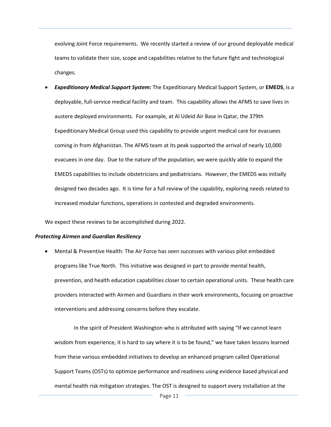evolving Joint Force requirements. We recently started a review of our ground deployable medical teams to validate their size, scope and capabilities relative to the future fight and technological changes.

• *Expeditionary Medical Support System:* The Expeditionary Medical Support System, or **EMEDS**, is a deployable, full-service medical facility and team. This capability allows the AFMS to save lives in austere deployed environments. For example, at Al Udeid Air Base in Qatar, the 379th Expeditionary Medical Group used this capability to provide urgent medical care for evacuees coming in from Afghanistan. The AFMS team at its peak supported the arrival of nearly 10,000 evacuees in one day. Due to the nature of the population, we were quickly able to expand the EMEDS capabilities to include obstetricians and pediatricians. However, the EMEDS was initially designed two decades ago. It is time for a full review of the capability, exploring needs related to increased modular functions, operations in contested and degraded environments.

We expect these reviews to be accomplished during 2022.

#### *Protecting Airmen and Guardian Resiliency*

• Mental & Preventive Health: The Air Force has seen successes with various pilot embedded programs like True North. This initiative was designed in part to provide mental health, prevention, and health education capabilities closer to certain operational units. These health care providers interacted with Airmen and Guardians in their work environments, focusing on proactive interventions and addressing concerns before they escalate.

In the spirit of President Washington who is attributed with saying "If we cannot learn wisdom from experience, it is hard to say where it is to be found," we have taken lessons learned from these various embedded initiatives to develop an enhanced program called Operational Support Teams (OSTs) to optimize performance and readiness using evidence based physical and mental health risk mitigation strategies. The OST is designed to support every installation at the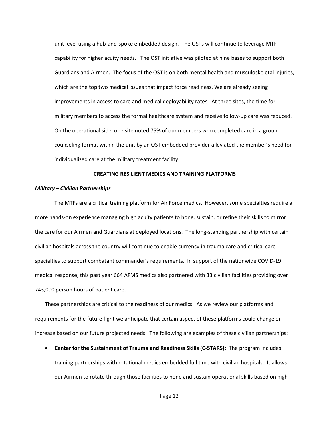unit level using a hub-and-spoke embedded design. The OSTs will continue to leverage MTF capability for higher acuity needs. The OST initiative was piloted at nine bases to support both Guardians and Airmen. The focus of the OST is on both mental health and musculoskeletal injuries, which are the top two medical issues that impact force readiness. We are already seeing improvements in access to care and medical deployability rates. At three sites, the time for military members to access the formal healthcare system and receive follow-up care was reduced. On the operational side, one site noted 75% of our members who completed care in a group counseling format within the unit by an OST embedded provider alleviated the member's need for individualized care at the military treatment facility.

#### **CREATING RESILIENT MEDICS AND TRAINING PLATFORMS**

#### *Military – Civilian Partnerships*

The MTFs are a critical training platform for Air Force medics. However, some specialties require a more hands-on experience managing high acuity patients to hone, sustain, or refine their skills to mirror the care for our Airmen and Guardians at deployed locations. The long-standing partnership with certain civilian hospitals across the country will continue to enable currency in trauma care and critical care specialties to support combatant commander's requirements. In support of the nationwide COVID-19 medical response, this past year 664 AFMS medics also partnered with 33 civilian facilities providing over 743,000 person hours of patient care.

These partnerships are critical to the readiness of our medics. As we review our platforms and requirements for the future fight we anticipate that certain aspect of these platforms could change or increase based on our future projected needs. The following are examples of these civilian partnerships:

• **Center for the Sustainment of Trauma and Readiness Skills (C-STARS):** The program includes training partnerships with rotational medics embedded full time with civilian hospitals. It allows our Airmen to rotate through those facilities to hone and sustain operational skills based on high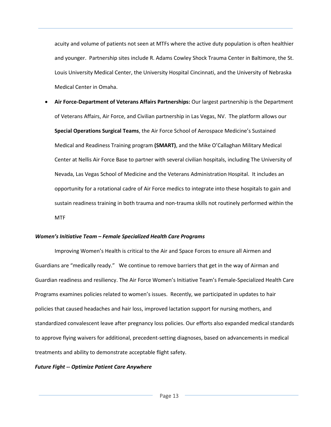acuity and volume of patients not seen at MTFs where the active duty population is often healthier and younger. Partnership sites include R. Adams Cowley Shock Trauma Center in Baltimore, the St. Louis University Medical Center, the University Hospital Cincinnati, and the University of Nebraska Medical Center in Omaha.

• **Air Force-Department of Veterans Affairs Partnerships:** Our largest partnership is the Department of Veterans Affairs, Air Force, and Civilian partnership in Las Vegas, NV. The platform allows our **Special Operations Surgical Teams**, the Air Force School of Aerospace Medicine's Sustained Medical and Readiness Training program **(SMART)**, and the Mike O'Callaghan Military Medical Center at Nellis Air Force Base to partner with several civilian hospitals, including The University of Nevada, Las Vegas School of Medicine and the Veterans Administration Hospital. It includes an opportunity for a rotational cadre of Air Force medics to integrate into these hospitals to gain and sustain readiness training in both trauma and non-trauma skills not routinely performed within the MTF

#### *Women's Initiative Team – Female Specialized Health Care Programs*

Improving Women's Health is critical to the Air and Space Forces to ensure all Airmen and Guardians are "medically ready." We continue to remove barriers that get in the way of Airman and Guardian readiness and resiliency. The Air Force Women's Initiative Team's Female-Specialized Health Care Programs examines policies related to women's issues. Recently, we participated in updates to hair policies that caused headaches and hair loss, improved lactation support for nursing mothers, and standardized convalescent leave after pregnancy loss policies. Our efforts also expanded medical standards to approve flying waivers for additional, precedent-setting diagnoses, based on advancements in medical treatments and ability to demonstrate acceptable flight safety.

#### *Future Fight -- Optimize Patient Care Anywhere*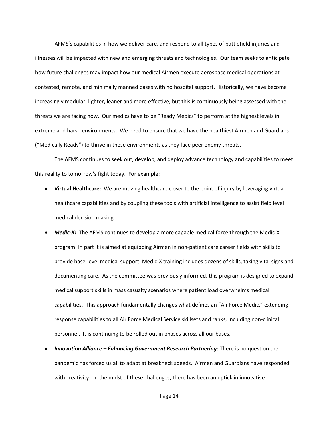AFMS's capabilities in how we deliver care, and respond to all types of battlefield injuries and illnesses will be impacted with new and emerging threats and technologies. Our team seeks to anticipate how future challenges may impact how our medical Airmen execute aerospace medical operations at contested, remote, and minimally manned bases with no hospital support. Historically, we have become increasingly modular, lighter, leaner and more effective, but this is continuously being assessed with the threats we are facing now. Our medics have to be "Ready Medics" to perform at the highest levels in extreme and harsh environments. We need to ensure that we have the healthiest Airmen and Guardians ("Medically Ready") to thrive in these environments as they face peer enemy threats.

The AFMS continues to seek out, develop, and deploy advance technology and capabilities to meet this reality to tomorrow's fight today. For example:

- **Virtual Healthcare:** We are moving healthcare closer to the point of injury by leveraging virtual healthcare capabilities and by coupling these tools with artificial intelligence to assist field level medical decision making.
- *Medic-X:* The AFMS continues to develop a more capable medical force through the Medic-X program. In part it is aimed at equipping Airmen in non-patient care career fields with skills to provide base-level medical support. Medic-X training includes dozens of skills, taking vital signs and documenting care. As the committee was previously informed, this program is designed to expand medical support skills in mass casualty scenarios where patient load overwhelms medical capabilities. This approach fundamentally changes what defines an "Air Force Medic," extending response capabilities to all Air Force Medical Service skillsets and ranks, including non-clinical personnel. It is continuing to be rolled out in phases across all our bases.
- *Innovation Alliance – Enhancing Government Research Partnering:* There is no question the pandemic has forced us all to adapt at breakneck speeds. Airmen and Guardians have responded with creativity. In the midst of these challenges, there has been an uptick in innovative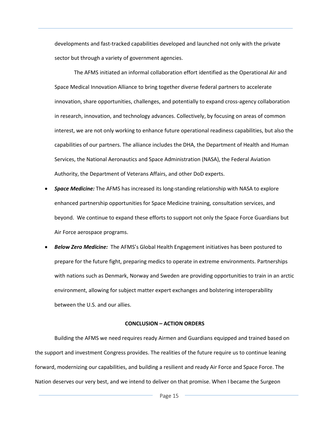developments and fast-tracked capabilities developed and launched not only with the private sector but through a variety of government agencies.

The AFMS initiated an informal collaboration effort identified as the Operational Air and Space Medical Innovation Alliance to bring together diverse federal partners to accelerate innovation, share opportunities, challenges, and potentially to expand cross-agency collaboration in research, innovation, and technology advances. Collectively, by focusing on areas of common interest, we are not only working to enhance future operational readiness capabilities, but also the capabilities of our partners. The alliance includes the DHA, the Department of Health and Human Services, the National Aeronautics and Space Administration (NASA), the Federal Aviation Authority, the Department of Veterans Affairs, and other DoD experts.

- *Space Medicine:* The AFMS has increased its long-standing relationship with NASA to explore enhanced partnership opportunities for Space Medicine training, consultation services, and beyond. We continue to expand these efforts to support not only the Space Force Guardians but Air Force aerospace programs.
- *Below Zero Medicine:* The AFMS's Global Health Engagement initiatives has been postured to prepare for the future fight, preparing medics to operate in extreme environments. Partnerships with nations such as Denmark, Norway and Sweden are providing opportunities to train in an arctic environment, allowing for subject matter expert exchanges and bolstering interoperability between the U.S. and our allies.

#### **CONCLUSION – ACTION ORDERS**

Building the AFMS we need requires ready Airmen and Guardians equipped and trained based on the support and investment Congress provides. The realities of the future require us to continue leaning forward, modernizing our capabilities, and building a resilient and ready Air Force and Space Force. The Nation deserves our very best, and we intend to deliver on that promise. When I became the Surgeon